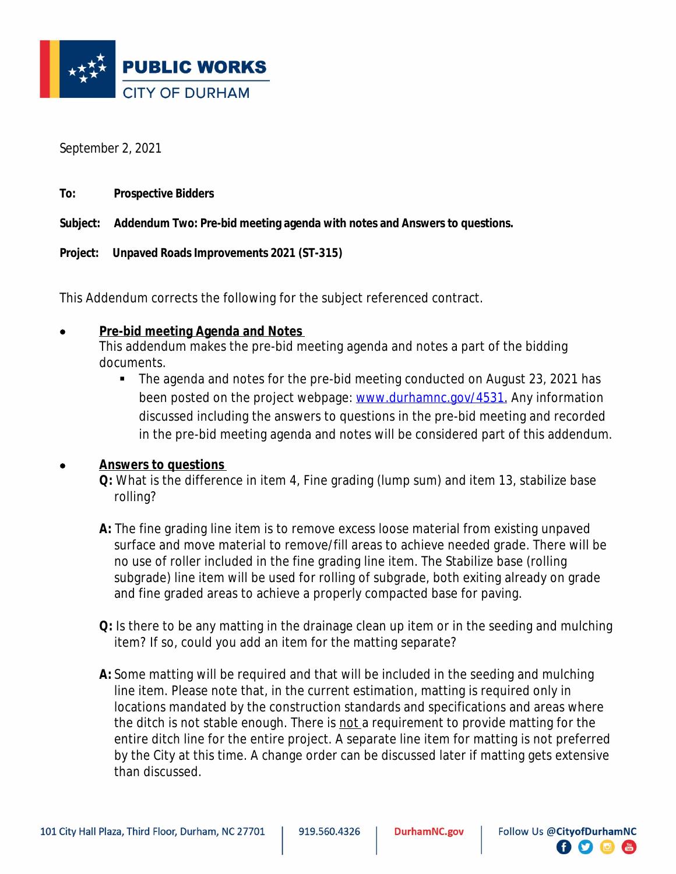

September 2, 2021

| To: | <b>Prospective Bidders</b> |
|-----|----------------------------|
|-----|----------------------------|

**Subject: Addendum Two: Pre-bid meeting agenda with notes and Answers to questions.**

**Project: Unpaved Roads Improvements 2021 (ST-315)**

This Addendum corrects the following for the subject referenced contract.

## **Pre-bid meeting Agenda and Notes**

This addendum makes the pre-bid meeting agenda and notes a part of the bidding documents.

 The agenda and notes for the pre-bid meeting conducted on August 23, 2021 has been posted on the project webpage: [www.durhamnc.gov/4531.](http://www.durhamnc.gov/4531) Any information discussed including the answers to questions in the pre-bid meeting and recorded in the pre-bid meeting agenda and notes will be considered part of this addendum.

## **Answers to questions**

**Q:** What is the difference in item 4, Fine grading (lump sum) and item 13, stabilize base rolling?

**A:** The fine grading line item is to remove excess loose material from existing unpaved surface and move material to remove/fill areas to achieve needed grade. There will be no use of roller included in the fine grading line item. The Stabilize base (rolling subgrade) line item will be used for rolling of subgrade, both exiting already on grade and fine graded areas to achieve a properly compacted base for paving.

- **Q:** Is there to be any matting in the drainage clean up item or in the seeding and mulching item? If so, could you add an item for the matting separate?
- **A:** Some matting will be required and that will be included in the seeding and mulching line item. Please note that, in the current estimation, matting is required only in locations mandated by the construction standards and specifications and areas where the ditch is not stable enough. There is not a requirement to provide matting for the entire ditch line for the entire project. A separate line item for matting is not preferred by the City at this time. A change order can be discussed later if matting gets extensive than discussed.